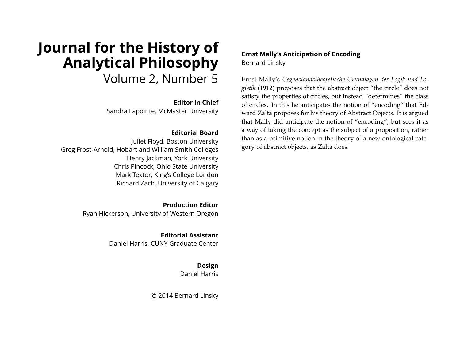# **Journal for the History of Analytical Philosophy** Volume 2, Number 5

## **Editor in Chief**

Sandra Lapointe, McMaster University

## **Editorial Board**

Juliet Floyd, Boston University Greg Frost-Arnold, Hobart and William Smith Colleges Henry Jackman, York University Chris Pincock, Ohio State University Mark Textor, King's College London Richard Zach, University of Calgary

> **Production Editor** Ryan Hickerson, University of Western Oregon

> > **Editorial Assistant** Daniel Harris, CUNY Graduate Center

> > > **Design** Daniel Harris

c 2014 Bernard Linsky

## **Ernst Mally's Anticipation of Encoding** Bernard Linsky

Ernst Mally's *Gegenstandstheoretische Grundlagen der Logik und Logistik* (1912) proposes that the abstract object "the circle" does not satisfy the properties of circles, but instead "determines" the class of circles. In this he anticipates the notion of "encoding" that Edward Zalta proposes for his theory of Abstract Objects. It is argued that Mally did anticipate the notion of "encoding", but sees it as a way of taking the concept as the subject of a proposition, rather than as a primitive notion in the theory of a new ontological category of abstract objects, as Zalta does.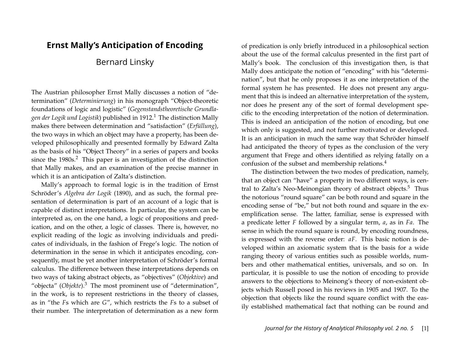# **Ernst Mally's Anticipation of Encoding**

# Bernard Linsky

The Austrian philosopher Ernst Mally discusses a notion of "determination" (*Determinierung*) in his monograph "Object-theoretic foundations of logic and logistic" (*Gegenstandstheoretische Grundlagen der Logik und Logistik*) published in 1912.<sup>1</sup> The distinction Mally makes there between determination and "satisfaction" (*Erfüllung*), the two ways in which an object may have a property, has been developed philosophically and presented formally by Edward Zalta as the basis of his "Object Theory" in a series of papers and books since the 1980s.<sup>2</sup> This paper is an investigation of the distinction that Mally makes, and an examination of the precise manner in which it is an anticipation of Zalta's distinction.

Mally's approach to formal logic is in the tradition of Ernst Schröder's *Algebra der Logik* (1890), and as such, the formal presentation of determination is part of an account of a logic that is capable of distinct interpretations. In particular, the system can be interpreted as, on the one hand, a logic of propositions and predication, and on the other, a logic of classes. There is, however, no explicit reading of the logic as involving individuals and predicates of individuals, in the fashion of Frege's logic. The notion of determination in the sense in which it anticipates encoding, consequently, must be yet another interpretation of Schröder's formal calculus. The difference between these interpretations depends on two ways of taking abstract objects, as "objectives" (*Objektive*) and "objecta" (*Objekte*).<sup>3</sup> The most prominent use of "determination", in the work, is to represent restrictions in the theory of classes, as in "the *F*s which are *G*", which restricts the *F*s to a subset of their number. The interpretation of determination as a new form

of predication is only briefly introduced in a philosophical section about the use of the formal calculus presented in the first part of Mally's book. The conclusion of this investigation then, is that Mally does anticipate the notion of "encoding" with his "determination", but that he only proposes it as one interpretation of the formal system he has presented. He does not present any argument that this is indeed an alternative interpretation of the system, nor does he present any of the sort of formal development specific to the encoding interpretation of the notion of determination. This is indeed an anticipation of the notion of encoding, but one which only is suggested, and not further motivated or developed. It is an anticipation in much the same way that Schröder himself had anticipated the theory of types as the conclusion of the very argument that Frege and others identified as relying fatally on a confusion of the subset and membership relations.<sup>4</sup>

The distinction between the two modes of predication, namely, that an object can "have" a property in two different ways, is central to Zalta's Neo-Meinongian theory of abstract objects.<sup>5</sup> Thus the notorious "round square" can be both round and square in the encoding sense of "be," but not both round and square in the exemplification sense. The latter, familiar, sense is expressed with a predicate letter *F* followed by a singular term, *a*, as in *Fa*. The sense in which the round square is round, by encoding roundness, is expressed with the reverse order: *aF*. This basic notion is developed within an axiomatic system that is the basis for a wide ranging theory of various entities such as possible worlds, numbers and other mathematical entities, universals, and so on. In particular, it is possible to use the notion of encoding to provide answers to the objections to Meinong's theory of non-existent objects which Russell posed in his reviews in 1905 and 1907. To the objection that objects like the round square conflict with the easily established mathematical fact that nothing can be round and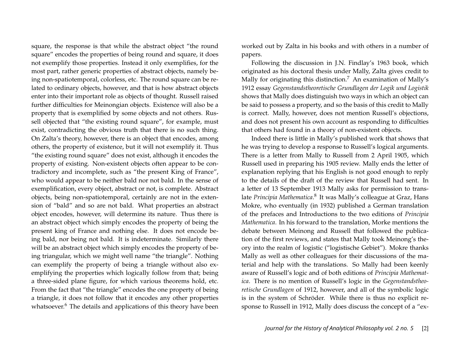square, the response is that while the abstract object "the round square" encodes the properties of being round and square, it does not exemplify those properties. Instead it only exemplifies, for the most part, rather generic properties of abstract objects, namely being non-spatiotemporal, colorless, etc. The round square can be related to ordinary objects, however, and that is how abstract objects enter into their important role as objects of thought. Russell raised further difficulties for Meinongian objects. Existence will also be a property that is exemplified by some objects and not others. Russell objected that "the existing round square", for example, must exist, contradicting the obvious truth that there is no such thing. On Zalta's theory, however, there is an object that encodes, among others, the property of existence, but it will not exemplify it. Thus "the existing round square" does not exist, although it encodes the property of existing. Non-existent objects often appear to be contradictory and incomplete, such as "the present King of France", who would appear to be neither bald nor not bald. In the sense of exemplification, every object, abstract or not, is complete. Abstract objects, being non-spatiotemporal, certainly are not in the extension of "bald" and so are not bald. What properties an abstract object encodes, however, will determine its nature. Thus there is an abstract object which simply encodes the property of being the present king of France and nothing else. It does not encode being bald, nor being not bald. It is indeterminate. Similarly there will be an abstract object which simply encodes the property of being triangular, which we might well name "the triangle". Nothing can exemplify the property of being a triangle without also exemplifying the properties which logically follow from that; being a three-sided plane figure, for which various theorems hold, etc. From the fact that "the triangle" encodes the one property of being a triangle, it does not follow that it encodes any other properties whatsoever.<sup>6</sup> The details and applications of this theory have been worked out by Zalta in his books and with others in a number of papers.

Following the discussion in J.N. Findlay's 1963 book, which originated as his doctoral thesis under Mally, Zalta gives credit to Mally for originating this distinction.<sup>7</sup> An examination of Mally's 1912 essay *Gegenstandstheoretische Grundlagen der Logik und Logistik* shows that Mally does distinguish two ways in which an object can be said to possess a property, and so the basis of this credit to Mally is correct. Mally, however, does not mention Russell's objections, and does not present his own account as responding to difficulties that others had found in a theory of non-existent objects.

Indeed there is little in Mally's published work that shows that he was trying to develop a response to Russell's logical arguments. There is a letter from Mally to Russell from 2 April 1905, which Russell used in preparing his 1905 review. Mally ends the letter of explanation replying that his English is not good enough to reply to the details of the draft of the review that Russell had sent. In a letter of 13 September 1913 Mally asks for permission to translate *Principia Mathematica.*<sup>8</sup> It was Mally's colleague at Graz, Hans Mokre, who eventually (in 1932) published a German translation of the prefaces and Introductions to the two editions of *Principia Mathematica*. In his forward to the translation, Morke mentions the debate between Meinong and Russell that followed the publication of the first reviews, and states that Mally took Meinong's theory into the realm of logistic ("logistische Gebiet"). Mokre thanks Mally as well as other colleagues for their discussions of the material and help with the translations. So Mally had been keenly aware of Russell's logic and of both editions of *Principia Mathematica*. There is no mention of Russell's logic in the *Gegenstandstheoretische Grundlagen* of 1912, however, and all of the symbolic logic is in the system of Schröder. While there is thus no explicit response to Russell in 1912, Mally does discuss the concept of a "ex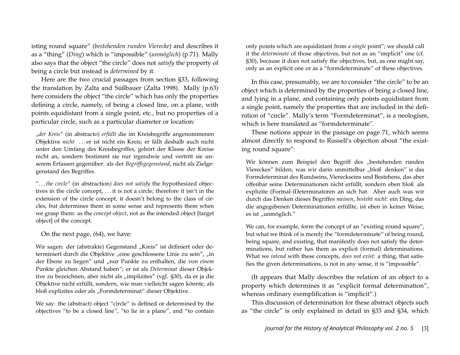isting round square" (*bestehenden runden Vierecke*) and describes it as a "thing" (*Ding*) which is "impossible" (*unmöglich*) (p.71). Mally also says that the object "the circle" does not *satisfy* the property of being a circle but instead is *determined* by it.

Here are the two crucial passages from section §33, following the translation by Zalta and Süßbauer (Zalta 1998). Mally (p.63) here considers the object "the circle" which has only the properties defining a circle, namely, of being a closed line, on a plane, with points equidistant from a single point, etc., but no properties of a particular circle, such as a particular diameter or location:

"*der Kreis*" (in abstracto) *erfüllt* die im Kreisbegriffe angenommenen Objektive *nicht* . . . er ist nicht ein Kreis; er fällt deshalb auch nicht unter den Umfang des Kreisbegriffes, gehört der Klasse der Kreise nicht an, sondern bestimmt sie nur irgendwie und vertritt sie unserem Erfassen gegenüber: als der *Begriffsgegenstand*, nicht als Zielgegenstand des Begriffes.

". . . *the circle*" (in abstraction) *does not satisfy* the hypothesized objectives in the circle concept, . . . it is not a circle; therefore it isn't in the extension of the circle concept, it doesn't belong to the class of circles, but determines them in some sense and represents them when we grasp them: as the *concept-object*, not as the intended object [target object] of the concept.

On the next page, (64), we have:

Wir sagen: der (abstrakte) Gegenstand "Kreis" ist definiert oder determiniert durch die Objektive "eine geschlossene Linie zu sein", "in der Ebene zu liegen" und "nur Punkte zu enthalten, die von *einem* Punkte gleichen Abstand haben"; er ist als *Determinat* dieser Objektive zu bezeichnen, aber nicht als "implizites" (vgl. §30), da er ja die Objektive nicht erfüllt, sondern, wie man vielleicht sagen könnte, als bloß explizites oder als "Formdeterminat" dieser Objektive.

We say: the (abstract) object "circle" is defined or determined by the objectives "to be a closed line", "to lie in a plane", and "to contain

only points which are equidistant from *a single* point"; we should call it the *determinate* of those objectives, but not as an "implicit" one (cf. §30), because it does not satisfy the objectives, but, as one might say, only as an explicit one or as a "formdeterminate" of these objectives.

In this case, presumably, we are to consider "the circle" to be an object which is determined by the properties of being a closed line, and lying in a plane, and containing only points equidistant from a single point, namely the properties that are included in the definition of "circle". Mally's term "Formdeterminat", is a neologism, which is here translated as "formdeterminate".

These notions appear in the passage on page 71, which seems almost directly to respond to Russell's objection about "the existing round square":

Wir können zum Beispiel den Begriff des "bestehenden runden Viereckes" bilden; was wir darin unmittelbar "bloß denken" is das Formdeterminat des Rundseins, Viereckseins und Bestehens, das aber offenbar seine Determinationen nicht erfüllt, sondern eben bloß als explizite (Formal-)Determinatoren an sich hat. Aber auch was wir durch das Denken dieses Begriffes *meinen*, *besteht nicht*: ein Ding, das die angegebenen Determinationen erfüllte, ist eben in keiner Weise, es ist "unmöglich."

We can, for example, form the concept of an "existing round square", but what we think of is merely the "formdeterminate" of being round, being square, and existing, that manifestly does not satisfy the determinations, but rather has them as explicit (formal) determinations. What we *intend* with these concepts, *does not exist*: a thing, that satisfies the given determinations, is not in any sense, it is "impossible".

(It appears that Mally describes the relation of an object to a property which determines it as "explicit formal determination", whereas ordinary exemplification is "implicit".)

This discussion of determination for these abstract objects such as "the circle" is only explained in detail in §33 and §34, which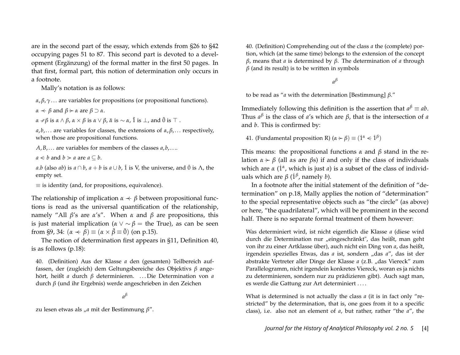are in the second part of the essay, which extends from §26 to §42 occupying pages 51 to 87. This second part is devoted to a development (Ergänzung) of the formal matter in the first 50 pages. In that first, formal part, this notion of determination only occurs in a footnote.

Mally's notation is as follows:

*α*,  $β$ ,  $γ$ ... are variables for propositions (or propositional functions).

*α*  $\prec$  *β* and *β*  $\succ$  *α* are *β*  $\supset$  *α*.

*α* −*β* is *α* ∧ *β, α* × *β* is *α* ∨ *β, α*̃ is ∼ *α,*  $\tilde{1}$  is ⊥*,* and  $\tilde{0}$  is  $\top$  .

*a*, *b*,... are variables for classes, the extensions of  $α$ ,  $β$ ,... respectively, when those are propositional functions.

 $A, B, \ldots$  are variables for members of the classes  $a, b, \ldots$ 

 $a \leq b$  and  $b \geq a$  are  $a \subseteq b$ .

*a*.*b* (also *ab*) is  $a \cap b$ ,  $a + b$  is  $a \cup b$ , 1 is V, the universe, and 0 is  $\Lambda$ , the empty set.

 $\equiv$  is identity (and, for propositions, equivalence).

The relationship of implication  $\alpha \prec \beta$  between propositional functions is read as the universal quantification of the relationship, namely "All *β*'s are *α*'s". When *α* and *β* are propositions, this is just material implication ( $\alpha \vee \alpha \beta$  = the True), as can be seen from §9, 34:  $(\alpha \prec \beta) \equiv (\alpha \times \overline{\beta} \equiv 0)$  (on p.15).

The notion of determination first appears in §11, Definition 40, is as follows (p.18):

40. (Definition) Aus der Klasse *a* den (gesamten) Teilbereich auffassen, der (zugleich) dem Geltungsbereiche des Objektivs *β* angehört, heißt *a* durch *β* determinieren. . . . Die Determination von *a* durch *β* (und ihr Ergebnis) werde angeschrieben in den Zeichen

*a β*

zu lesen etwas als "*a* mit der Bestimmung *β*".

40. (Definition) Comprehending out of the class *a* the (complete) portion, which (at the same time) belongs to the extension of the concept *β*, means that *a* is determined by *β*. The determination of *a* through  $\beta$  (and its result) is to be written in symbols

*a β*

to be read as "*a* with the determination [Bestimmung] *β*."

Immediately following this definition is the assertion that  $a^{\beta} \equiv ab$ . Thus *a β* is the class of *a*'s which are *β*, that is the intersection of *a* and *b*. This is confirmed by:

41. (Fundamental proposition R)  $(\alpha \succ \beta) \equiv (1^{\alpha} \lt 1^{\beta})$ 

This means: the propositional functions *α* and *β* stand in the relation  $\alpha \succ \beta$  (all  $\alpha s$  are  $\beta s$ ) if and only if the class of individuals which are *α* (1<sup>*α*</sup>, which is just *a*) is a subset of the class of individuals which are *β* (1˙ *<sup>β</sup>* , namely *b*).

In a footnote after the initial statement of the definition of "determination" on p.18, Mally applies the notion of "determination" to the special representative objects such as "the circle" (as above) or here, "the quadrilateral", which will be prominent in the second half. There is no separate formal treatment of them however:

Was determiniert wird, ist nicht eigentlich die Klasse *a* (diese wird durch die Determination nur "eingeschränkt", das heißt, man geht von ihr zu einer Artklasse über), auch nicht ein Ding von *a*, das heißt, irgendein spezielles Etwas, das *a* ist, sondern "das *a*", das ist der abstrakte Vertreter aller Dinge der Klasse *a* (z.B. "das Viereck" zum Parallelogramm, nicht irgendein konkretes Viereck, woran es ja nichts zu determinieren, sondern nur zu prädizieren gibt). Auch sagt man, es werde die Gattung zur Art determiniert . . . .

What is determined is not actually the class *a* (it is in fact only "restricted" by the determination, that is, one goes from it to a specific class), i.e. also not an element of *a*, but rather, rather "the *a*", the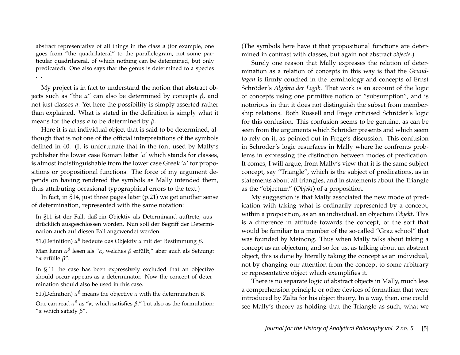abstract representative of all things in the class *a* (for example, one goes from "the quadrilateral" to the parallelogram, not some particular quadrilateral, of which nothing can be determined, but only predicated). One also says that the genus is determined to a species . . .

My project is in fact to understand the notion that abstract objects such as "the *α*" can also be determined by concepts *β*, and not just classes *a*. Yet here the possibility is simply asserted rather than explained. What is stated in the definition is simply what it means for the class *a* to be determined by *β*.

Here it is an individual object that is said to be determined, although that is not one of the official interpretations of the symbols defined in 40. (It is unfortunate that in the font used by Mally's publisher the lower case Roman letter '*a*' which stands for classes, is almost indistinguishable from the lower case Greek '*α*' for propositions or propositional functions. The force of my argument depends on having rendered the symbols as Mally intended them, thus attributing occasional typographical errors to the text.)

In fact, in §14, just three pages later (p.21) we get another sense of determination, represented with the same notation:

In §11 ist der Fall, daß ein Objektiv als Determinand auftrete, ausdrücklich ausgeschlossen worden. Nun soll der Begriff der Determination auch auf diesen Fall angewendet werden.

51.(Definition) *α <sup>β</sup>* bedeute das Objektiv *α* mit der Bestimmung *β*.

Man kann *α β* lesen als "*α*, welches *β* erfüllt," aber auch als Setzung: "*α* erfülle *β*".

In § 11 the case has been expressively excluded that an objective should occur appears as a determinator. Now the concept of determination should also be used in this case.

51.(Definition) *α <sup>β</sup>* means the objective *α* with the determination *β*.

One can read *α <sup>β</sup>* as "*α*, which satisfies *β*," but also as the formulation: "*α* which satisfy *β*".

(The symbols here have it that propositional functions are determined in contrast with classes, but again not abstract *objects*.)

Surely one reason that Mally expresses the relation of determination as a relation of concepts in this way is that the *Grundlagen* is firmly couched in the terminology and concepts of Ernst Schröder's *Algebra der Logik*. That work is an account of the logic of concepts using one primitive notion of "subsumption", and is notorious in that it does not distinguish the subset from membership relations. Both Russell and Frege criticised Schröder's logic for this confusion. This confusion seems to be genuine, as can be seen from the arguments which Schröder presents and which seem to rely on it, as pointed out in Frege's discussion. This confusion in Schröder's logic resurfaces in Mally where he confronts problems in expressing the distinction between modes of predication. It comes, I will argue, from Mally's view that it is the same subject concept, say "Triangle", which is the subject of predications, as in statements about all triangles, and in statements about the Triangle as the "objectum" (*Objekt*) of a proposition.

My suggestion is that Mally associated the new mode of predication with taking what is ordinarily represented by a concept, within a proposition, as an an individual, an objectum *Objekt*. This is a difference in attitude towards the concept, of the sort that would be familiar to a member of the so-called "Graz school" that was founded by Meinong. Thus when Mally talks about taking a concept as an objectum, and so for us, as talking about an abstract object, this is done by literally taking the concept *as* an individual, not by changing our attention from the concept to some arbitrary or representative object which exemplifies it.

There is no separate logic of abstract objects in Mally, much less a comprehension principle or other devices of formalism that were introduced by Zalta for his object theory. In a way, then, one could see Mally's theory as holding that the Triangle as such, what we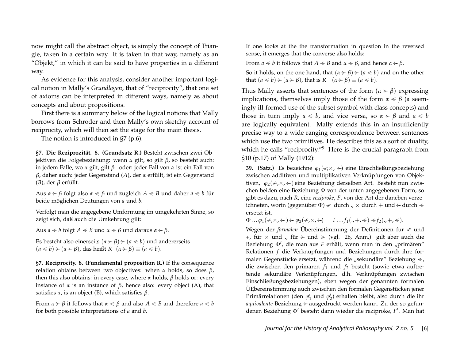now might call the abstract object, is simply the concept of Triangle, taken in a certain way. It is taken in that way, namely as an "Objekt," in which it can be said to have properties in a different way.

As evidence for this analysis, consider another important logical notion in Mally's *Grundlagen*, that of "reciprocity", that one set of axioms can be interpreted in different ways, namely as about concepts and about propositions.

First there is a summary below of the logical notions that Mally borrows from Schröder and then Mally's own sketchy account of reciprocity, which will then set the stage for the main thesis.

The notion is introduced in §7 (p.6):

**§7. Die Reziprozität. 8. (Grundsatz R.)** Besteht zwischen zwei Objektiven die Folgebeziehung: wenn *α* gilt, so gilt *β*, so besteht auch: in jedem Falle, wo *α* gilt, gilt *β* oder: jeder Fall von *α* ist ein Fall von *β*, daher auch: jeder Gegenstand (*A*), der *α* erfüllt, ist ein Gegenstand (*B*), der *β* erfüllt.

Aus  $\alpha \succ \beta$  folgt also  $\alpha \leq \beta$  und zugleich  $A \leq B$  und daher  $a \leq b$  für beide möglichen Deutungen von *a* und *b*.

Verfolgt man die angegebene Umformung im umgekehrten Sinne, so zeigt sich, daß auch die Umkehrung gilt:

Aus  $a \leq b$  folgt  $A \leq B$  und  $\alpha \leq \beta$  und daraus  $\alpha \geq \beta$ .

Es besteht also einerseits  $(a \succ \beta) \succ (a \le b)$  und andererseits  $(a \leq b) \geq (a \geq b)$ , das heißt  $R$   $(a \geq \beta) \equiv (a \leq b)$ .

**§7. Reciprocity. 8. (Fundamental proposition R.)** If the consequence relation obtains between two objectives: when *α* holds, so does *β*, then this also obtains: in every case, where *α* holds, *β* holds or: every instance of *α* is an instance of *β*, hence also: every object (A), that satisfies *α*, is an object (B), which satisfies *β*.

From  $\alpha \succ \beta$  it follows that  $\alpha \leq \beta$  and also  $A \leq B$  and therefore  $a \leq b$ for both possible interpretations of *a* and *b*.

If one looks at the the transformation in question in the reversed sense, it emerges that the converse also holds:

From  $a \leq b$  it follows that  $A \leq B$  and  $\alpha \leq \beta$ , and hence  $\alpha \geq \beta$ .

So it holds, on the one hand, that  $(a \succ \beta) \succ (a \le b)$  and on the other that  $(a < b) \rightarrow (\alpha \rightarrow \beta)$ , that is  $R$   $(\alpha \rightarrow \beta) \equiv (a < b)$ .

Thus Mally asserts that sentences of the form  $(\alpha \succ \beta)$  expressing implications, themselves imply those of the form  $α < β$  (a seemingly ill-formed use of the subset symbol with class concepts) and those in turn imply  $a \leq b$ , and vice versa, so  $\alpha \geq \beta$  and  $a \leq b$ are logically equivalent. Mally extends this in an insufficiently precise way to a wide ranging correspondence between sentences which use the two primitives. He describes this as a sort of duality, which he calls "reciprocity."<sup>9</sup> Here is the crucial paragraph from §10 (p.17) of Mally (1912):

**39. (Satz.)** Es bezeichne *ϕ*1(−,×<sup>∼</sup> , −) eine Einschließungsbeziehung zwischen additiven und multiplikativen Verknüpfungen von Objektiven, *φ*<sub>2</sub>(*÷*,×, →) eine Beziehung derselben Art. Besteht nun zwischen beiden eine Beziehung Φ von der unten angegebenen Form, so gibt es dazu, nach *R*, eine *reziproke*, *F*, von der Art der daneben verzeichneten, worin (gegenüber  $\Phi$ ) ÷ durch ., × durch + und  $\div$  durch  $\lt$ ersetzt ist.

 $\Phi \dots \varphi_1(\varphi,\times,\succ) \succ \varphi_2(\varphi,\times,\succ)$   $F \dots f_1(.,+,\leq) \leq f_2(.,+,\leq).$ 

Wegen der *formalen* Übereinstimmung der Definitionen für ÷ und +, für  $\times$  und ., für  $\succ$  und  $\succ$  (vgl. 26, Anm.) gilt aber auch die Beziehung Φ', die man aus *F* erhält, wenn man in den "primären" Relationen *f* die Verknüpfungen und Beziehungen durch ihre formalen Gegenstücke ersetzt, während die "sekundäre" Beziehung  $\leq$ , die zwischen den primären *f*<sup>1</sup> und *f*<sup>2</sup> besteht (sowie etwa auftretende sekundäre Verknüpfungen, d.h. Verknüpfungen zwischen Einschließungsbeziehungen), eben wegen der genannten formalen ÜEbereinstimmung auch zwischen den formalen Gegenstücken jener Primärrelationen (den φ<sub>1</sub> und φ<sub>2</sub>) erhalten bleibt, also durch die ihr *äquivalente* Beziehung − ausgedrückt werden kann. Zu der so gefundenen Beziehung Φ' besteht dann wieder die reziproke, *F'*. Man hat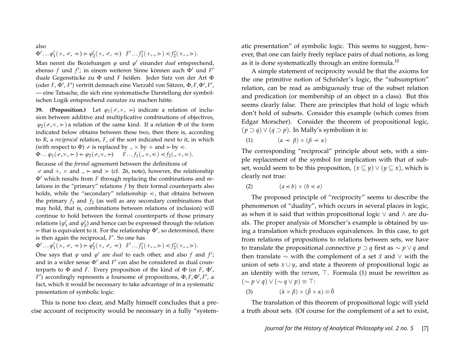#### also

 $\Phi' \dots \phi'_1(\times, \, \text{I}, \, \text{I}) \succ \phi'_2(\times, \, \text{I}, \, \text{I}) \quad F' \dots f'_1(\text{I}, \, \text{I}, \, \text{I}) \prec f'_2(\text{I}, \, \text{I}, \, \text{I}).$ 

Man nennt die Beziehungen φ und φ' einander *dual* entsprechend, ebenso *f* und *f'*; in einem weiteren Sinne können auch  $\Phi'$  und *F'* duale Gegenstücke zu Φ und *F* heißen. Jeder Satz von der Art Φ (oder *F*, Φ', *F'*) vertritt demnach eine Vierzahl von Sätzen, Φ, F, Φ', F', — eine Tatsache, die sich eine systematische Darstellung der symbolischen Logik entsprechend zunutze zu machen hätte.

**39. (Proposition.)** Let  $\varphi_1(\varphi, \times)$  indicate a relation of inclusion between additive and multiplicative combinations of objectives,  $\varphi_2(\varphi, \times, \div)$  a relation of the same kind. If a relation  $\Phi$  of the form indicated below obtains between these two, then there is, according to *R*, a *reciprocal* relation, *F*, of the sort indicated next to it, in which (with respect to  $\Phi$ )  $\div$  is replaced by .,  $\times$  by + and  $\succ$  by  $\lt$ .

$$
\Phi\ldots\varphi_1(\mathcal{F},\mathsf{X},\mathcal{F})\mathcal{F}\varphi_2(\mathcal{F},\mathsf{X},\mathcal{F})\qquad F\ldots f_1(.,+,\mathcal{F})\mathcal{F}_2(.,+,\mathcal{F}).
$$

Because of the *formal* agreement between the definitions of  $\rightarrow$  and  $+$ ,  $\times$  and  $\rightarrow$  and  $\rightarrow$  (cf. 26, note), however, the relationship  $\Phi'$  which results from *F* through replacing the combinations and relations in the "primary" relations *f* by their formal counterparts also holds, while the "secondary" relationship  $\leq$ , that obtains between the primary  $f_1$  and  $f_2$  (as well as any secondary combinations that may hold, that is, combinations between relations of inclusion) will continue to hold between the formal counterparts of those primary relations ( $\varphi_1'$  and  $\varphi_2'$ ) and hence can be expressed through the relation  $\rightarrow$  that is equivalent to it. For the relationship  $\Phi'$ , so determined, there is then again the reciprocal, F<sup>'</sup>. So one has

 $\Phi' \dots \phi'_1(\lambda, \pm, \pm) \rightarrow \phi'_2(\lambda, \pm, \pm) \quad F' \dots f'_1(+, \pm) \leq f'_2(+, \pm).$ 

One says that  $\varphi$  und  $\varphi'$  are *dual* to each other, and also  $f$  and  $f'$ ; and in a wider sense  $\Phi'$  and  $F'$  can also be considered as dual counterparts to  $\Phi$  and *F*. Every proposition of the kind of  $\Phi$  (or *F*,  $\Phi'$ ,  $F'$ ) accordingly represents a foursome of propositions,  $\Phi$ ,  $F$ ,  $\Phi'$ ,  $F'$ , a fact, which it would be necessary to take advantage of in a systematic presentation of symbolic logic.

This is none too clear, and Mally himself concludes that a precise account of reciprocity would be necessary in a fully "systematic presentation" of symbolic logic. This seems to suggest, however, that one can fairly freely replace pairs of dual notions, as long as it is done systematically through an entire formula.<sup>10</sup>

A simple statement of reciprocity would be that the axioms for the one primitive notion of Schröder's logic, the "subsumption" relation, can be read as ambiguously true of the subset relation and predication (or membership of an object in a class). But this seems clearly false. There are principles that hold of logic which don't hold of subsets. Consider this example (which comes from Edgar Morscher). Consider the theorem of propositional logic,  $(p \supset q) \vee (q \supset p)$ . In Mally's symbolism it is:

(1)  $(\alpha \neq \beta) \times (\beta \neq \alpha)$ 

The corresponding "reciprocal" principle about sets, with a simple replacement of the symbol for implication with that of subset, would seem to be this proposition,  $(x \subseteq y) \lor (y \subseteq x)$ , which is clearly not true:

$$
(2) \qquad (a \le b) \times (b \le a)
$$

The proposed principle of "reciprocity" seems to describe the phenomenon of "duality", which occurs in several places in logic, as when it is said that within propositional logic ∨ and ∧ are duals. The proper analysis of Morscher's example is obtained by using a translation which produces equivalences. In this case, to get from relations of propositions to relations between sets, we have to translate the propositional connective *p* ⊃ *q* first as ∼ *p* ∨ *q* and then translate ∼ with the complement of a set *x*¯ and ∨ with the union of sets  $x \cup y$ , and state a theorem of propositional logic as an identity with the *verum*,  $\top$ . Formula (1) must be rewritten as  $(\sim p \vee q) \vee (\sim q \vee p) \equiv$  ⊤:

(3) 
$$
(\bar{\alpha} \times \beta) \times (\bar{\beta} \times \alpha) \equiv \tilde{0}
$$

The translation of this theorem of propositional logic will yield a truth about sets. (Of course for the complement of a set to exist,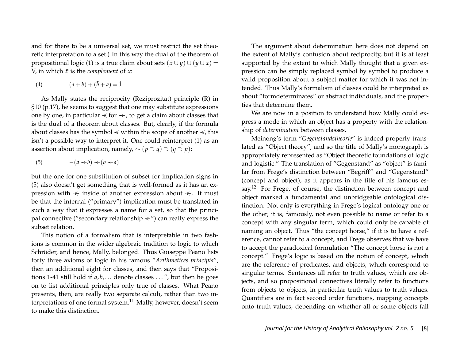and for there to be a universal set, we must restrict the set theoretic interpretation to a set.) In this way the dual of the theorem of propositional logic (1) is a true claim about sets  $(\bar{x} \cup y) \cup (\bar{y} \cup x) =$ V, in which  $\bar{x}$  is the *complement* of *x*:

(4) 
$$
(\bar{a} + b) + (\bar{b} + a) = 1
$$

As Mally states the reciprocity (Reziprozität) principle (R) in §10 (p.17), he seems to suggest that one may substitute expressions one by one, in particular  $\leq$  for  $\leq$ , to get a claim about classes that is the dual of a theorem about classes. But, clearly, if the formula about classes has the symbol  $\lt$  within the scope of another  $\lt$ , this isn't a possible way to interpret it. One could reinterpret (1) as an assertion about implication, namely,  $\sim (p \supset q) \supset (q \supset p)$ :

$$
(5) \qquad -(a \prec b) \prec (b \prec a)
$$

but the one for one substitution of subset for implication signs in (5) also doesn't get something that is well-formed as it has an expression with  $\leq$  inside of another expression about  $\leq$ . It must be that the internal ("primary") implication must be translated in such a way that it expresses a name for a set, so that the principal connective ("secondary relationship  $\lt$ ") can really express the subset relation.

This notion of a formalism that is interpretable in two fashions is common in the wider algebraic tradition to logic to which Schröder, and hence, Mally, belonged. Thus Guiseppe Peano lists forty three axioms of logic in his famous "*Arithmetices principia*", then an additional eight for classes, and then says that "Propositions 1-41 still hold if  $a, b, \ldots$  denote classes  $\ldots$ , but then he goes on to list additional principles only true of classes. What Peano presents, then, are really two separate calculi, rather than two interpretations of one formal system.<sup>11</sup> Mally, however, doesn't seem to make this distinction.

The argument about determination here does not depend on the extent of Mally's confusion about reciprocity, but it is at least supported by the extent to which Mally thought that a given expression can be simply replaced symbol by symbol to produce a valid proposition about a subject matter for which it was not intended. Thus Mally's formalism of classes could be interpreted as about "formdeterminates" or abstract individuals, and the properties that determine them.

We are now in a position to understand how Mally could express a mode in which an object has a property with the relationship of *determination* between classes.

Meinong's term "*Gegenstandstheorie*" is indeed properly translated as "Object theory", and so the title of Mally's monograph is appropriately represented as "Object theoretic foundations of logic and logistic." The translation of "Gegenstand" as "object" is familar from Frege's distinction between "Begriff" and "Gegenstand" (concept and object), as it appears in the title of his famous essay.<sup>12</sup> For Frege, of course, the distinction between concept and object marked a fundamental and unbridgeable ontological distinction. Not only is everything in Frege's logical ontology one or the other, it is, famously, not even possible to name or refer to a concept with any singular term, which could only be capable of naming an object. Thus "the concept horse," if it is to have a reference, cannot refer to a concept, and Frege observes that we have to accept the paradoxical formulation "The concept horse is not a concept." Frege's logic is based on the notion of concept, which are the reference of predicates, and objects, which correspond to singular terms. Sentences all refer to truth values, which are objects, and so propositional connectives literally refer to functions from objects to objects, in particular truth values to truth values. Quantifiers are in fact second order functions, mapping concepts onto truth values, depending on whether all or some objects fall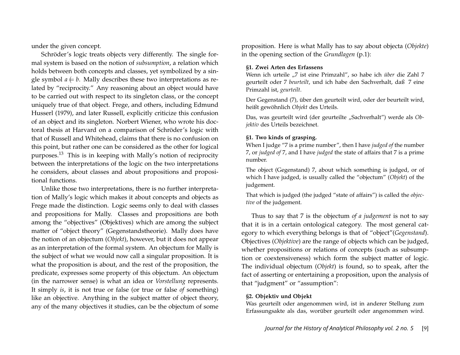under the given concept.

Schröder's logic treats objects very differently. The single formal system is based on the notion of *subsumption*, a relation which holds between both concepts and classes, yet symbolized by a single symbol  $a \neq b$ . Mally describes these two interpretations as related by "reciprocity." Any reasoning about an object would have to be carried out with respect to its singleton class, or the concept uniquely true of that object. Frege, and others, including Edmund Husserl (1979), and later Russell, explicitly criticize this confusion of an object and its singleton. Norbert Wiener, who wrote his doctoral thesis at Harvard on a comparison of Schröder's logic with that of Russell and Whitehead, claims that there is no confusion on this point, but rather one can be considered as the other for logical purposes.<sup>13</sup> This is in keeping with Mally's notion of reciprocity between the interpretations of the logic on the two interpretations he considers, about classes and about propositions and propositional functions.

Unlike those two interpretations, there is no further interpretation of Mally's logic which makes it about concepts and objects as Frege made the distinction. Logic seems only to deal with classes and propositions for Mally. Classes and propositions are both among the "objectives" (Objektives) which are among the subject matter of "object theory" (Gegenstandstheorie). Mally does have the notion of an objectum (*Objekt*), however, but it does not appear as an interpretation of the formal system. An objectum for Mally is the subject of what we would now call a singular proposition. It is what the proposition is about, and the rest of the proposition, the predicate, expresses some property of this objectum. An objectum (in the narrower sense) is what an idea or *Vorstellung* represents. It simply *is*, it is not true or false (or true or false *of* something) like an objective. Anything in the subject matter of object theory, any of the many objectives it studies, can be the objectum of some proposition. Here is what Mally has to say about objecta (*Objekte*) in the opening section of the *Grundlagen* (p.1):

#### **§1. Zwei Arten des Erfassens**

Wenn ich urteile "7 ist eine Primzahl", so habe ich *über* die Zahl 7 geurteilt oder 7 *beurteilt*, und ich habe den Sachverhalt, daß 7 eine Primzahl ist, *geurteilt*.

Der Gegenstand (7), über den geurteilt wird, oder der beurteilt wird, heißt gewöhnlich *Objekt* des Urteils.

Das, was geurteilt wird (der geurteilte "Sachverhalt") werde als Ob*jektiv* des Urteils bezeichnet.

## **§1. Two kinds of grasping.**

When I judge "7 is a prime number", then I have *judged of* the number 7, or *judged of* 7, and I have *judged* the state of affairs that 7 is a prime number.

The object (Gegenstand) 7, about which something is judged, or of which I have judged, is usually called the "objectum" (*Objekt*) of the judgement.

That which is judged (the judged "state of affairs") is called the *objective* of the judgement.

Thus to say that 7 is the objectum *of a judgement* is not to say that it is in a certain ontological category. The most general category to which everything belongs is that of "object"(*Gegenstand*). Objectives (*Objektive*) are the range of objects which can be judged, whether propositions or relations of concepts (such as subsumption or coextensiveness) which form the subject matter of logic. The individual objectum (*Objekt*) is found, so to speak, after the fact of asserting or entertaining a proposition, upon the analysis of that "judgment" or "assumption":

## **§2. Objektiv und Objekt**

Was geurteilt oder angenommen wird, ist in anderer Stellung zum Erfassungsakte als das, worüber geurteilt oder angenommen wird.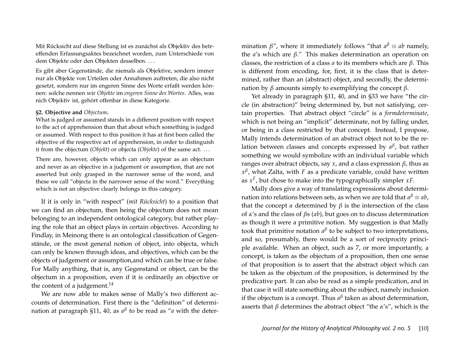Mit Rücksicht auf diese Stellung ist es zunächst als Objektiv des betreffenden Erfassungsaktes bezeichnet worden, zum Unterschiede von dem Objekte oder den Objekten desselben. . . .

Es gibt aber Gegenstände, die niemals als Objektive, sondern immer nur als Objekte von Urteilen oder Annahmen auftreten, die also nicht gesetzt, sondern nur im engeren Sinne des Worte erfaßt werden können: solche nennen wir *Objekte* im *engeren Sinne des Wortes*. Alles, was nich Objektiv ist, gehört offenbar in diese Kategorie.

#### **§2. Objective and** *Objectum***.**

What is judged or assumed stands in a different position with respect to the act of apprehension than that about which something is judged or assumed. With respect to this position it has at first been called the objective of the respective act of apprehension, in order to distinguish it from the objectum (*Objekt*) or objecta (*Objekte*) of the same act. . . .

There are, however, objects which can only appear as an objectum and never as an objective in a judgement or assumption, that are not asserted but only grasped in the narrower sense of the word, and these we call "objecta in the narrower sense of the word." Everything which is not an objective clearly belongs in this category.

If it is only in "with respect" (*mit Rücksicht*) to a position that we can find an objectum, then being the objectum does not mean belonging to an independent ontological category, but rather playing the role that an object plays in certain objectives. According to Findlay, in Meinong there is an ontological classification of Gegenstände, or the most general notion of object, into objecta, which can only be known through ideas, and objectives, which can be the objects of judgement or assumption,and which can be true or false. For Mally anything, that is, any Gegenstand or object, can be the objectum in a proposition, even if it is ordinarily an objective or the content of a judgement. $^{14}$ 

We are now able to makes sense of Mally's two different accounts of determination. First there is the "definition" of determination at paragraph §11, 40, as *a β* to be read as "*a* with the deter-

mination  $\beta''$ , where it immediately follows "that  $a^\beta \equiv ab$  namely, the *a*'s which are *β*." This makes determination an operation on classes, the restriction of a class *a* to its members which are *β*. This is different from encoding, for, first, it is the class that is determined, rather than an (abstract) object, and secondly, the determination by *β* amounts simply to exemplifying the concept *β*.

Yet already in paragraph §11, 40, and in §33 we have "the circle (in abstraction)" being determined by, but not satisfying, certain properties. That abstract object "circle" is a *formdeterminate*, which is not being an "implicit" determinate, not by falling under, or being in a class restricted by that concept. Instead, I propose, Mally intends determination of an abstract object not to be the relation between classes and concepts expressed by *a<sup>β</sup>,* but rather something we would symbolize with an individual variable which ranges over abstract objects, say *x*, and a class expression *β*, thus as *x β* , what Zalta, with *F* as a predicate variable, could have written as *x F* , but chose to make into the typographically simpler *xF*.

Mally does give a way of translating expressions about determination into relations between sets, as when we are told that *a <sup>β</sup>* ≡ *ab*, that the concept *α* determined by  $β$  is the intersection of the class of *α*'s and the class of *β*s (*ab*), but goes on to discuss determination as though it were a primitive notion. My suggestion is that Mally took that primitive notation  $a^{\beta}$  to be subject to two interpretations, and so, presumably, there would be a sort of reciprocity principle available. When an object, such as 7, or more importantly, a concept, is taken as the objectum of a proposition, then one sense of that proposition is to assert that the abstract object which can be taken as the objectum of the proposition, is determined by the predicative part. It can also be read as a simple predication, and in that case it will state something about the subject, namely inclusion if the objectum is a concept. Thus *a β* taken as about determination, asserts that *β* determines the abstract object "the *α*'s", which is the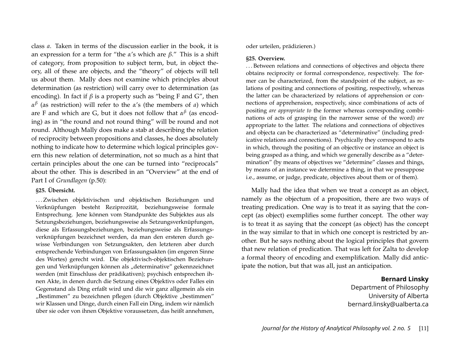class *a*. Taken in terms of the discussion earlier in the book, it is an expression for a term for "the *α*'s which are *β*." This is a shift of category, from proposition to subject term, but, in object theory, all of these are objects, and the "theory" of objects will tell us about them. Mally does not examine which principles about determination (as restriction) will carry over to determination (as encoding). In fact if  $\beta$  is a property such as "being F and G", then *α β* (as restriction) will refer to the *α*'s (the members of *a*) which are F and which are G, but it does not follow that *α β* (as encoding) as in "the round and not round thing" will be round and not round. Although Mally does make a stab at describing the relation of reciprocity between propositions and classes, he does absolutely nothing to indicate how to determine which logical principles govern this new relation of determination, not so much as a hint that certain principles about the one can be turned into "reciprocals" about the other. This is described in an "Overview" at the end of Part I of *Grundlagen* (p.50):

#### **§25. Übersicht.**

... Zwischen objektivischen und objektischen Beziehungen und Verknüpfungen besteht Reziprozität, beziehungsweise formale Entsprechung. Jene können vom Standpunkte des Subjektes aus als Setzungsbeziehungen, beziehungsweise als Setzungsverknüpfungen, diese als Erfassungsbeziehungen, beziehungsweise als Erfassungsverknüpfungen bezeichnet werden, da man den ersteren durch gewisse Verbindungen von Setzungsakten, den letzteren aber durch entsprechende Verbindungen von Erfassungsakten (im engeren Sinne des Wortes) gerecht wird. Die objektivisch-objektischen Beziehungen und Verknüpfungen können als "determinative" gekennzeichnet werden (mit Einschluss der prädikativen); psychisch entsprechen ihnen Akte, in denen durch die Setzung eines Objektivs oder Falles ein Gegenstand als Ding erfaßt wird und die wir ganz allgemein als ein "Bestimmen" zu bezeichnen pflegen (durch Objektive "bestimmen" wir Klassen und Dinge, durch einen Fall ein Ding, indem wir nämlich über sie oder von ihnen Objektive voraussetzen, das heißt annehmen, oder urteilen, prädizieren.)

#### **§25. Overview.**

. . . Between relations and connections of objectives and objecta there obtains reciprocity or formal correspondence, respectively. The former can be characterized, from the standpoint of the subject, as relations of positing and connections of positing, respectively, whereas the latter can be characterized by relations of apprehension or connections of apprehension, respectively, since combinations of acts of positing *are appropriate to* the former whereas corresponding combinations of acts of grasping (in the narrower sense of the word) *are* appropriate to the latter. The relations and connections of objectives and objecta can be characterized as "determinative" (including predicative relations and connections). Psychically they correspond to acts in which, through the positing of an objective or instance an object is being grasped as a thing, and which we generally describe as a "determination" (by means of objectives we "determine" classes and things, by means of an instance we determine a thing, in that we presuppose i.e., assume, or judge, predicate, objectives about them or of them).

Mally had the idea that when we treat a concept as an object, namely as the objectum of a proposition, there are two ways of treating predication. One way is to treat it as saying that the concept (as object) exemplifies some further concept. The other way is to treat it as saying that the concept (as object) has the concept in the way similar to that in which one concept is restricted by another. But he says nothing about the logical principles that govern that new relation of predication. That was left for Zalta to develop a formal theory of encoding and exemplification. Mally did anticipate the notion, but that was all, just an anticipation.

## **Bernard Linsky**

Department of Philosophy University of Alberta bernard.linsky@ualberta.ca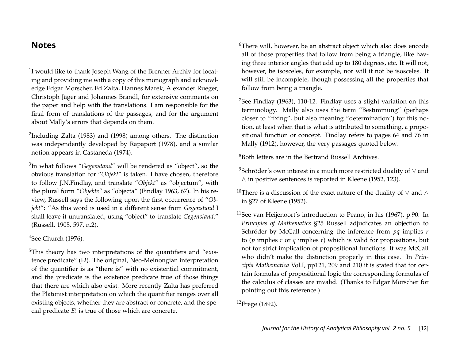# **Notes**

<sup>1</sup>I would like to thank Joseph Wang of the Brenner Archiv for locating and providing me with a copy of this monograph and acknowledge Edgar Morscher, Ed Zalta, Hannes Marek, Alexander Rueger, Christoph Jäger and Johannes Brandl, for extensive comments on the paper and help with the translations. I am responsible for the final form of translations of the passages, and for the argument about Mally's errors that depends on them.

<sup>2</sup>Including Zalta (1983) and (1998) among others. The distinction was independently developed by Rapaport (1978), and a similar notion appears in Castaneda (1974).

3 In what follows "*Gegenstand*" will be rendered as "object", so the obvious translation for "*Objekt*" is taken. I have chosen, therefore to follow J.N.Findlay, and translate "*Objekt*" as "objectum", with the plural form "*Objekte*" as "objecta" (Findlay 1963, 67). In his review, Russell says the following upon the first occurrence of "*Objekt*": "As this word is used in a different sense from *Gegenstand* I shall leave it untranslated, using "object" to translate *Gegenstand*." (Russell, 1905, 597, n.2).

 $4$ See Church (1976).

<sup>5</sup>This theory has two interpretations of the quantifiers and "existence predicate" (E!). The original, Neo-Meinongian interpretation of the quantifier is as "there is" with no existential commitment, and the predicate is the existence predicate true of those things that there are which also exist. More recently Zalta has preferred the Platonist interpretation on which the quantifier ranges over all existing objects, whether they are abstract or concrete, and the special predicate *E*! is true of those which are concrete.

<sup>6</sup>There will, however, be an abstract object which also does encode all of those properties that follow from being a triangle, like having three interior angles that add up to 180 degrees, etc. It will not, however, be isosceles, for example, nor will it not be isosceles. It will still be incomplete, though possessing all the properties that follow from being a triangle.

 $7$ See Findlay (1963), 110-12. Findlay uses a slight variation on this terminology. Mally also uses the term "Bestimmung" (perhaps closer to "fixing", but also meaning "determination") for this notion, at least when that is what is attributed to something, a propositional function or concept. Findlay refers to pages 64 and 76 in Mally (1912), however, the very passages quoted below.

<sup>8</sup>Both letters are in the Bertrand Russell Archives.

 $9$ Schröder's own interest in a much more restricted duality of  $\vee$  and ∧ in positive sentences is reported in Kleene (1952, 123).

<sup>10</sup>There is a discussion of the exact nature of the duality of  $\vee$  and  $\wedge$ in §27 of Kleene (1952).

 $11$ See van Heijenoort's introduction to Peano, in his (1967), p.90. In *Principles of Mathematics* §25 Russell adjudicates an objection to Schröder by McCall concerning the inference from *pq* implies *r* to (*p* implies *r* or *q* implies *r*) which is valid for propositions, but not for strict implication of propositional functions. It was McCall who didn't make the distinction properly in this case. In *Principia Mathematica* Vol.I, pp121, 209 and 210 it is stated that for certain formulas of propositional logic the corresponding formulas of the calculus of classes are invalid. (Thanks to Edgar Morscher for pointing out this reference.)

<sup>12</sup>Frege (1892).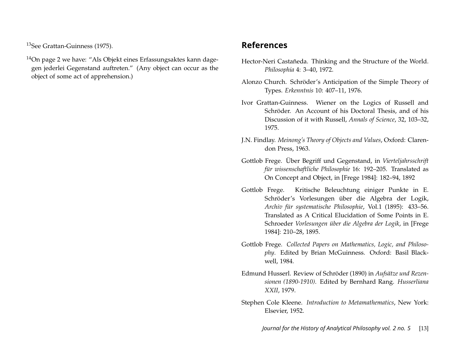<sup>13</sup>See Grattan-Guinness (1975).

<sup>14</sup>On page 2 we have: "Als Objekt eines Erfassungsaktes kann dagegen jederlei Gegenstand auftreten." (Any object can occur as the object of some act of apprehension.)

# **References**

- Hector-Neri Castañeda. Thinking and the Structure of the World. *Philosophia* 4: 3–40, 1972.
- Alonzo Church. Schröder's Anticipation of the Simple Theory of Types. *Erkenntnis* 10: 407–11, 1976.
- Ivor Grattan-Guinness. Wiener on the Logics of Russell and Schröder. An Account of his Doctoral Thesis, and of his Discussion of it with Russell, *Annals of Science*, 32, 103–32, 1975.
- J.N. Findlay. *Meinong's Theory of Objects and Values*, Oxford: Clarendon Press, 1963.
- Gottlob Frege. Über Begriff und Gegenstand, in *Vierteljahrsschrift für wissenschaftliche Philosophie* 16: 192–205. Translated as On Concept and Object, in [Frege 1984]: 182–94, 1892
- Gottlob Frege. Kritische Beleuchtung einiger Punkte in E. Schröder's Vorlesungen über die Algebra der Logik, *Archiv für systematische Philosophie*, Vol.1 (1895): 433–56. Translated as A Critical Elucidation of Some Points in E. Schroeder *Vorlesungen über die Algebra der Logik*, in [Frege 1984]: 210–28, 1895.
- Gottlob Frege. *Collected Papers on Mathematics, Logic, and Philosophy*. Edited by Brian McGuinness. Oxford: Basil Blackwell, 1984.
- Edmund Husserl. Review of Schröder (1890) in *Aufsätze und Rezensionen (1890-1910)*. Edited by Bernhard Rang. *Husserliana XXII*, 1979.
- Stephen Cole Kleene. *Introduction to Metamathematics*, New York: Elsevier, 1952.